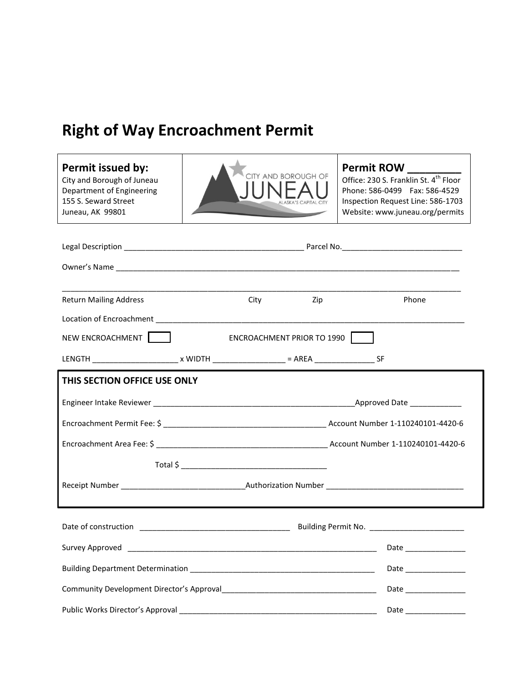## **Right of Way Encroachment Permit**

 $\mathsf{r}$ 

| Permit issued by:<br>City and Borough of Juneau<br>Department of Engineering<br>155 S. Seward Street<br>Juneau, AK 99801 | CITY AND BOROUGH OF  |     | <b>Permit ROW</b><br>Office: 230 S. Franklin St. 4 <sup>th</sup> Floor<br>Phone: 586-0499   Fax: 586-4529<br>Inspection Request Line: 586-1703<br>Website: www.juneau.org/permits |  |  |  |
|--------------------------------------------------------------------------------------------------------------------------|----------------------|-----|-----------------------------------------------------------------------------------------------------------------------------------------------------------------------------------|--|--|--|
|                                                                                                                          |                      |     |                                                                                                                                                                                   |  |  |  |
|                                                                                                                          |                      |     |                                                                                                                                                                                   |  |  |  |
| <b>Return Mailing Address</b>                                                                                            | City                 | Zip | Phone                                                                                                                                                                             |  |  |  |
|                                                                                                                          |                      |     |                                                                                                                                                                                   |  |  |  |
| NEW ENCROACHMENT  <br>ENCROACHMENT PRIOR TO 1990                                                                         |                      |     |                                                                                                                                                                                   |  |  |  |
| LENGTH __________________________ x WIDTH ___________________ = AREA _____________________SF                             |                      |     |                                                                                                                                                                                   |  |  |  |
| THIS SECTION OFFICE USE ONLY                                                                                             |                      |     |                                                                                                                                                                                   |  |  |  |
|                                                                                                                          |                      |     |                                                                                                                                                                                   |  |  |  |
|                                                                                                                          |                      |     |                                                                                                                                                                                   |  |  |  |
|                                                                                                                          |                      |     |                                                                                                                                                                                   |  |  |  |
|                                                                                                                          |                      |     |                                                                                                                                                                                   |  |  |  |
|                                                                                                                          |                      |     |                                                                                                                                                                                   |  |  |  |
| Date of construction<br>Building Permit No.                                                                              |                      |     |                                                                                                                                                                                   |  |  |  |
|                                                                                                                          |                      |     |                                                                                                                                                                                   |  |  |  |
|                                                                                                                          |                      |     | Date _______________                                                                                                                                                              |  |  |  |
|                                                                                                                          | Date _______________ |     |                                                                                                                                                                                   |  |  |  |
|                                                                                                                          | Date ______________  |     |                                                                                                                                                                                   |  |  |  |